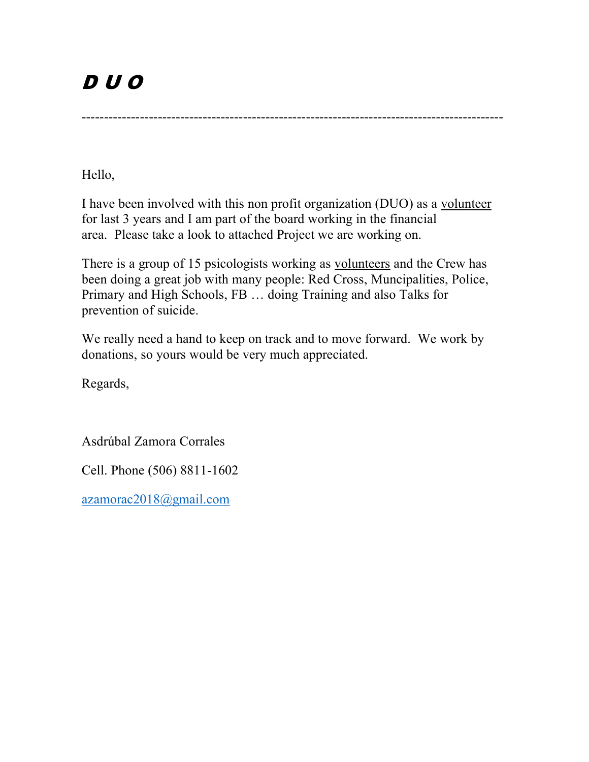## D U O

----------------------------------------------------------------------------------------------

Hello,

I have been involved with this non profit organization (DUO) as a volunteer for last 3 years and I am part of the board working in the financial area. Please take a look to attached Project we are working on.

There is a group of 15 psicologists working as volunteers and the Crew has been doing a great job with many people: Red Cross, Muncipalities, Police, Primary and High Schools, FB … doing Training and also Talks for prevention of suicide.

We really need a hand to keep on track and to move forward. We work by donations, so yours would be very much appreciated.

Regards,

Asdrúbal Zamora Corrales

Cell. Phone (506) 8811-1602

[azamorac2018@gmail.com](mailto:azamorac2018@gmail.com)